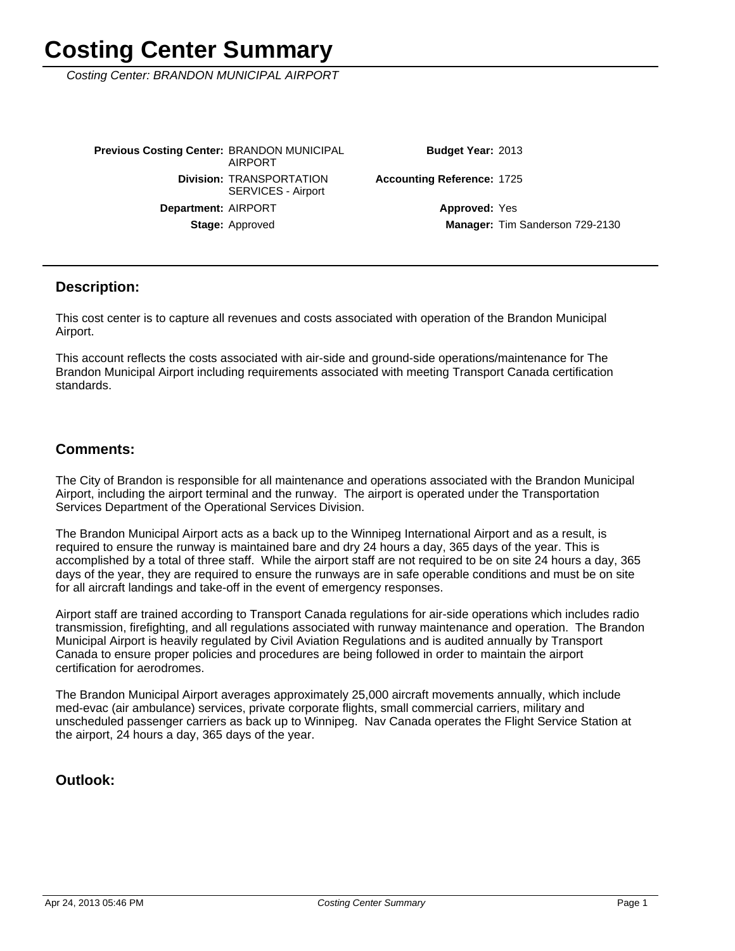Costing Center: BRANDON MUNICIPAL AIRPORT

Stage: Approved Department: AIRPORT **Division: TRANSPORTATION** SERVICES - Airport **Previous Costing Center: BRANDON MUNICIPAL** AIRPORT

Budget Year: 2013

Accounting Reference: 1725

Manager: Tim Sanderson 729-2130 **Approved: Yes** 

#### **Description:**

This cost center is to capture all revenues and costs associated with operation of the Brandon Municipal Airport.

This account reflects the costs associated with air-side and ground-side operations/maintenance for The Brandon Municipal Airport including requirements associated with meeting Transport Canada certification standards.

#### **Comments:**

The City of Brandon is responsible for all maintenance and operations associated with the Brandon Municipal Airport, including the airport terminal and the runway. The airport is operated under the Transportation Services Department of the Operational Services Division.

The Brandon Municipal Airport acts as a back up to the Winnipeg International Airport and as a result, is required to ensure the runway is maintained bare and dry 24 hours a day, 365 days of the year. This is accomplished by a total of three staff. While the airport staff are not required to be on site 24 hours a day, 365 days of the year, they are required to ensure the runways are in safe operable conditions and must be on site for all aircraft landings and take-off in the event of emergency responses.

Airport staff are trained according to Transport Canada regulations for air-side operations which includes radio transmission, firefighting, and all regulations associated with runway maintenance and operation. The Brandon Municipal Airport is heavily regulated by Civil Aviation Regulations and is audited annually by Transport Canada to ensure proper policies and procedures are being followed in order to maintain the airport certification for aerodromes.

The Brandon Municipal Airport averages approximately 25,000 aircraft movements annually, which include med-evac (air ambulance) services, private corporate flights, small commercial carriers, military and unscheduled passenger carriers as back up to Winnipeg. Nav Canada operates the Flight Service Station at the airport, 24 hours a day, 365 days of the year.

### **Outlook:**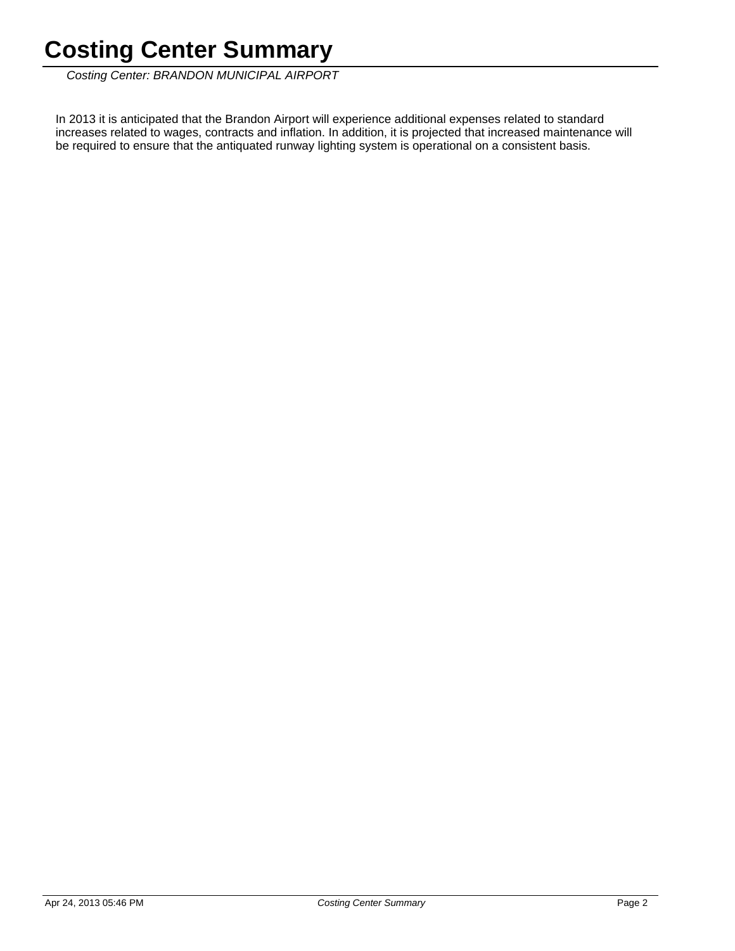Costing Center: BRANDON MUNICIPAL AIRPORT

In 2013 it is anticipated that the Brandon Airport will experience additional expenses related to standard increases related to wages, contracts and inflation. In addition, it is projected that increased maintenance will be required to ensure that the antiquated runway lighting system is operational on a consistent basis.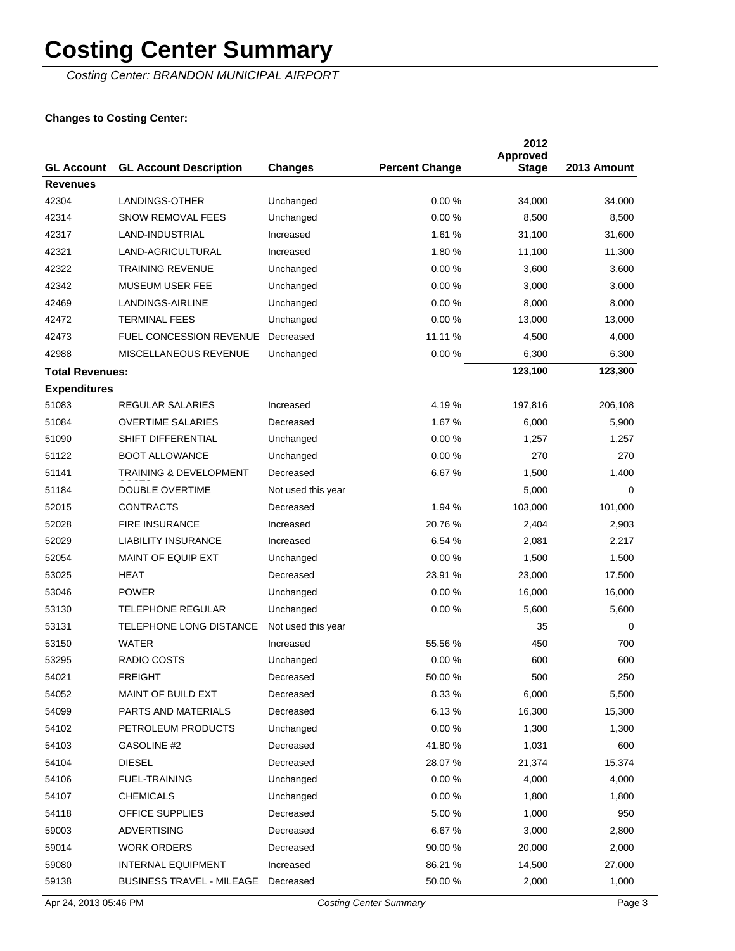Costing Center: BRANDON MUNICIPAL AIRPORT

### **Changes to Costing Center:**

| <b>GL Account</b>      | <b>GL Account Description</b>     | <b>Changes</b>     | <b>Percent Change</b> | 2012<br>Approved<br><b>Stage</b> | 2013 Amount |
|------------------------|-----------------------------------|--------------------|-----------------------|----------------------------------|-------------|
| <b>Revenues</b>        |                                   |                    |                       |                                  |             |
| 42304                  | LANDINGS-OTHER                    | Unchanged          | 0.00%                 | 34,000                           | 34,000      |
| 42314                  | <b>SNOW REMOVAL FEES</b>          | Unchanged          | 0.00%                 | 8,500                            | 8,500       |
| 42317                  | LAND-INDUSTRIAL                   | Increased          | 1.61 %                | 31,100                           | 31,600      |
| 42321                  | LAND-AGRICULTURAL                 | Increased          | 1.80%                 | 11,100                           | 11,300      |
| 42322                  | <b>TRAINING REVENUE</b>           | Unchanged          | 0.00%                 | 3,600                            | 3,600       |
| 42342                  | MUSEUM USER FEE                   | Unchanged          | 0.00%                 | 3,000                            | 3,000       |
| 42469                  | LANDINGS-AIRLINE                  | Unchanged          | 0.00%                 | 8,000                            | 8,000       |
| 42472                  | <b>TERMINAL FEES</b>              | Unchanged          | 0.00%                 | 13,000                           | 13,000      |
| 42473                  | <b>FUEL CONCESSION REVENUE</b>    | Decreased          | 11.11 %               | 4,500                            | 4,000       |
| 42988                  | MISCELLANEOUS REVENUE             | Unchanged          | 0.00%                 | 6,300                            | 6,300       |
| <b>Total Revenues:</b> |                                   |                    |                       | 123,100                          | 123,300     |
| <b>Expenditures</b>    |                                   |                    |                       |                                  |             |
| 51083                  | <b>REGULAR SALARIES</b>           | Increased          | 4.19%                 | 197,816                          | 206,108     |
| 51084                  | <b>OVERTIME SALARIES</b>          | Decreased          | 1.67%                 | 6,000                            | 5,900       |
| 51090                  | SHIFT DIFFERENTIAL                | Unchanged          | 0.00%                 | 1,257                            | 1,257       |
| 51122                  | <b>BOOT ALLOWANCE</b>             | Unchanged          | 0.00%                 | 270                              | 270         |
| 51141                  | <b>TRAINING &amp; DEVELOPMENT</b> | Decreased          | 6.67%                 | 1,500                            | 1,400       |
| 51184                  | <b>DOUBLE OVERTIME</b>            | Not used this year |                       | 5,000                            | 0           |
| 52015                  | <b>CONTRACTS</b>                  | Decreased          | 1.94 %                | 103,000                          | 101,000     |
| 52028                  | <b>FIRE INSURANCE</b>             | Increased          | 20.76 %               | 2,404                            | 2,903       |
| 52029                  | <b>LIABILITY INSURANCE</b>        | Increased          | 6.54 %                | 2,081                            | 2,217       |
| 52054                  | <b>MAINT OF EQUIP EXT</b>         | Unchanged          | 0.00%                 | 1,500                            | 1,500       |
| 53025                  | HEAT                              | Decreased          | 23.91 %               | 23,000                           | 17,500      |
| 53046                  | <b>POWER</b>                      | Unchanged          | 0.00%                 | 16,000                           | 16,000      |
| 53130                  | <b>TELEPHONE REGULAR</b>          | Unchanged          | 0.00%                 | 5,600                            | 5,600       |
| 53131                  | TELEPHONE LONG DISTANCE           | Not used this year |                       | 35                               | 0           |
| 53150                  | <b>WATER</b>                      | Increased          | 55.56 %               | 450                              | 700         |
| 53295                  | RADIO COSTS                       | Unchanged          | 0.00%                 | 600                              | 600         |
| 54021                  | <b>FREIGHT</b>                    | Decreased          | 50.00 %               | 500                              | 250         |
| 54052                  | MAINT OF BUILD EXT                | Decreased          | 8.33 %                | 6,000                            | 5,500       |
| 54099                  | PARTS AND MATERIALS               | Decreased          | 6.13%                 | 16,300                           | 15,300      |
| 54102                  | PETROLEUM PRODUCTS                | Unchanged          | 0.00%                 | 1,300                            | 1,300       |
| 54103                  | GASOLINE #2                       | Decreased          | 41.80%                | 1,031                            | 600         |
| 54104                  | <b>DIESEL</b>                     | Decreased          | 28.07%                | 21,374                           | 15,374      |
| 54106                  | <b>FUEL-TRAINING</b>              | Unchanged          | 0.00%                 | 4,000                            | 4,000       |
| 54107                  | <b>CHEMICALS</b>                  | Unchanged          | 0.00%                 | 1,800                            | 1,800       |
| 54118                  | OFFICE SUPPLIES                   | Decreased          | 5.00 %                | 1,000                            | 950         |
| 59003                  | <b>ADVERTISING</b>                | Decreased          | 6.67 %                | 3,000                            | 2,800       |
| 59014                  | <b>WORK ORDERS</b>                | Decreased          | 90.00 %               | 20,000                           | 2,000       |
| 59080                  | <b>INTERNAL EQUIPMENT</b>         | Increased          | 86.21 %               | 14,500                           | 27,000      |
| 59138                  | <b>BUSINESS TRAVEL - MILEAGE</b>  | Decreased          | 50.00 %               | 2,000                            | 1,000       |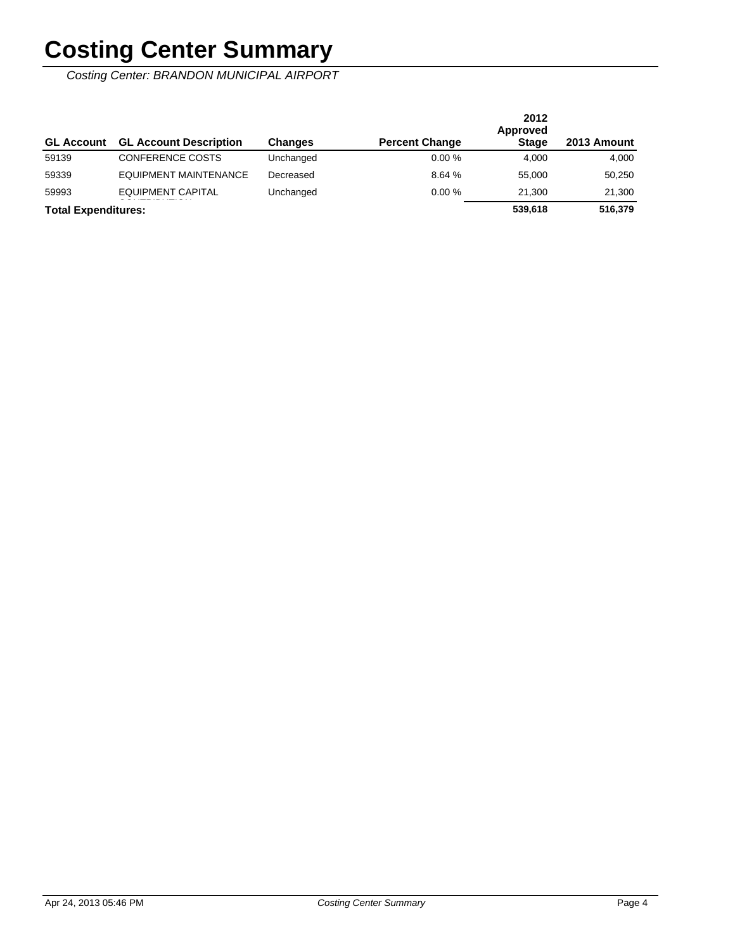Costing Center: BRANDON MUNICIPAL AIRPORT

| <b>GL Account</b>          | <b>GL Account Description</b> | <b>Changes</b> | <b>Percent Change</b> | 2012<br>Approved<br><b>Stage</b> | 2013 Amount |
|----------------------------|-------------------------------|----------------|-----------------------|----------------------------------|-------------|
| 59139                      | <b>CONFERENCE COSTS</b>       | Unchanged      | 0.00%                 | 4.000                            | 4,000       |
| 59339                      | EQUIPMENT MAINTENANCE         | Decreased      | 8.64 %                | 55,000                           | 50,250      |
| 59993                      | EQUIPMENT CAPITAL             | Unchanged      | 0.00%                 | 21.300                           | 21,300      |
| <b>Total Expenditures:</b> |                               |                |                       | 539.618                          | 516,379     |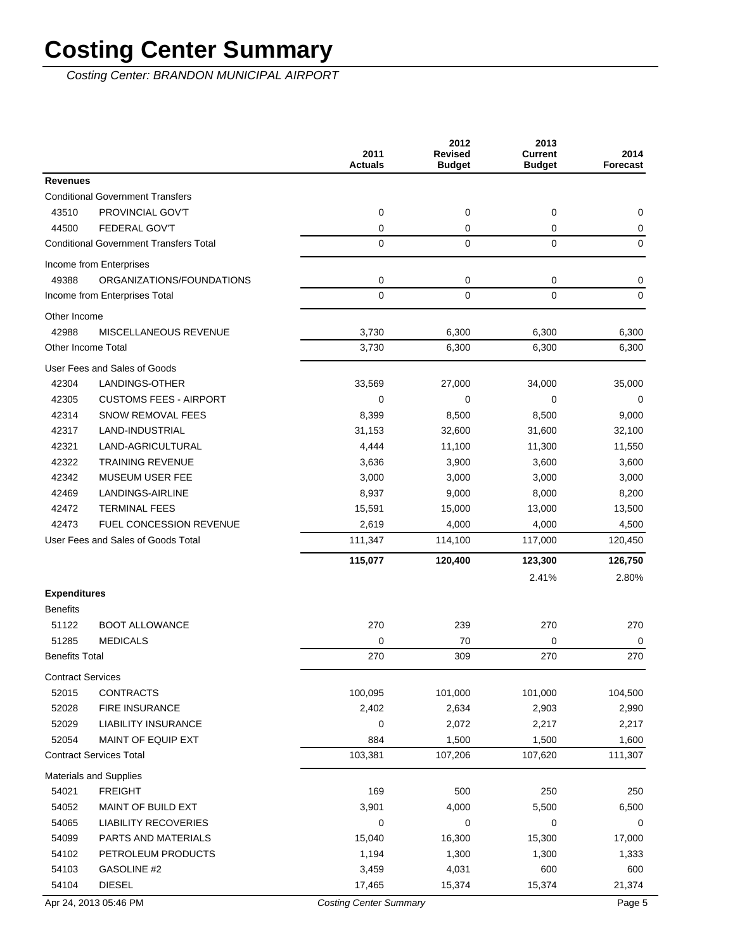Costing Center: BRANDON MUNICIPAL AIRPORT

|                          |                                               | 2011<br><b>Actuals</b> | 2012<br><b>Revised</b><br><b>Budget</b> | 2013<br><b>Current</b><br><b>Budget</b> | 2014<br>Forecast |
|--------------------------|-----------------------------------------------|------------------------|-----------------------------------------|-----------------------------------------|------------------|
| <b>Revenues</b>          |                                               |                        |                                         |                                         |                  |
|                          | <b>Conditional Government Transfers</b>       |                        |                                         |                                         |                  |
| 43510                    | PROVINCIAL GOV'T                              | 0                      | 0                                       | 0                                       | 0                |
| 44500                    | <b>FEDERAL GOV'T</b>                          | 0                      | 0                                       | 0                                       | 0                |
|                          | <b>Conditional Government Transfers Total</b> | $\mathbf 0$            | $\mathbf 0$                             | 0                                       | $\mathbf 0$      |
|                          | Income from Enterprises                       |                        |                                         |                                         |                  |
| 49388                    | ORGANIZATIONS/FOUNDATIONS                     | 0                      | 0                                       | 0                                       | 0                |
|                          | Income from Enterprises Total                 | 0                      | $\mathbf 0$                             | 0                                       | $\pmb{0}$        |
| Other Income             |                                               |                        |                                         |                                         |                  |
| 42988                    | MISCELLANEOUS REVENUE                         | 3,730                  | 6,300                                   | 6,300                                   | 6,300            |
| Other Income Total       |                                               | 3,730                  | 6,300                                   | 6,300                                   | 6,300            |
|                          | User Fees and Sales of Goods                  |                        |                                         |                                         |                  |
| 42304                    | <b>LANDINGS-OTHER</b>                         | 33,569                 | 27,000                                  | 34,000                                  | 35,000           |
| 42305                    | <b>CUSTOMS FEES - AIRPORT</b>                 | 0                      | $\mathbf 0$                             | 0                                       | $\mathbf 0$      |
| 42314                    | <b>SNOW REMOVAL FEES</b>                      | 8,399                  | 8,500                                   | 8,500                                   | 9,000            |
| 42317                    | LAND-INDUSTRIAL                               | 31,153                 | 32,600                                  | 31,600                                  | 32,100           |
| 42321                    | LAND-AGRICULTURAL                             | 4,444                  | 11,100                                  | 11,300                                  | 11,550           |
| 42322                    | <b>TRAINING REVENUE</b>                       | 3,636                  | 3,900                                   | 3,600                                   | 3,600            |
| 42342                    | <b>MUSEUM USER FEE</b>                        | 3,000                  | 3,000                                   | 3,000                                   | 3,000            |
| 42469                    | LANDINGS-AIRLINE                              | 8,937                  | 9,000                                   | 8,000                                   | 8,200            |
| 42472                    | <b>TERMINAL FEES</b>                          | 15,591                 | 15,000                                  | 13,000                                  | 13,500           |
| 42473                    | <b>FUEL CONCESSION REVENUE</b>                | 2,619                  | 4,000                                   | 4,000                                   | 4,500            |
|                          | User Fees and Sales of Goods Total            | 111,347                | 114,100                                 | 117,000                                 | 120,450          |
|                          |                                               | 115,077                | 120,400                                 | 123,300                                 | 126,750          |
|                          |                                               |                        |                                         | 2.41%                                   | 2.80%            |
| <b>Expenditures</b>      |                                               |                        |                                         |                                         |                  |
| <b>Benefits</b>          |                                               |                        |                                         |                                         |                  |
| 51122                    | <b>BOOT ALLOWANCE</b>                         | 270                    | 239                                     | 270                                     | 270              |
| 51285                    | <b>MEDICALS</b>                               | 0                      | 70                                      | 0                                       | 0                |
| <b>Benefits Total</b>    |                                               | 270                    | 309                                     | 270                                     | 270              |
| <b>Contract Services</b> |                                               |                        |                                         |                                         |                  |
| 52015                    | <b>CONTRACTS</b>                              | 100,095                | 101,000                                 | 101,000                                 | 104,500          |
| 52028                    | <b>FIRE INSURANCE</b>                         | 2,402                  | 2,634                                   | 2,903                                   | 2,990            |
| 52029                    | <b>LIABILITY INSURANCE</b>                    | 0                      | 2,072                                   | 2,217                                   | 2,217            |
| 52054                    | MAINT OF EQUIP EXT                            | 884                    | 1,500                                   | 1,500                                   | 1,600            |
|                          | <b>Contract Services Total</b>                | 103,381                | 107,206                                 | 107,620                                 | 111,307          |
|                          | Materials and Supplies                        |                        |                                         |                                         |                  |
| 54021                    | <b>FREIGHT</b>                                | 169                    | 500                                     | 250                                     | 250              |
| 54052                    | MAINT OF BUILD EXT                            | 3,901                  | 4,000                                   | 5,500                                   | 6,500            |
| 54065                    | <b>LIABILITY RECOVERIES</b>                   | 0                      | 0                                       | 0                                       | 0                |
| 54099                    | PARTS AND MATERIALS                           | 15,040                 | 16,300                                  | 15,300                                  | 17,000           |
| 54102                    | PETROLEUM PRODUCTS                            | 1,194                  | 1,300                                   | 1,300                                   | 1,333            |
| 54103                    | GASOLINE #2                                   | 3,459                  | 4,031                                   | 600                                     | 600              |
| 54104                    | <b>DIESEL</b>                                 | 17,465                 | 15,374                                  | 15,374                                  | 21,374           |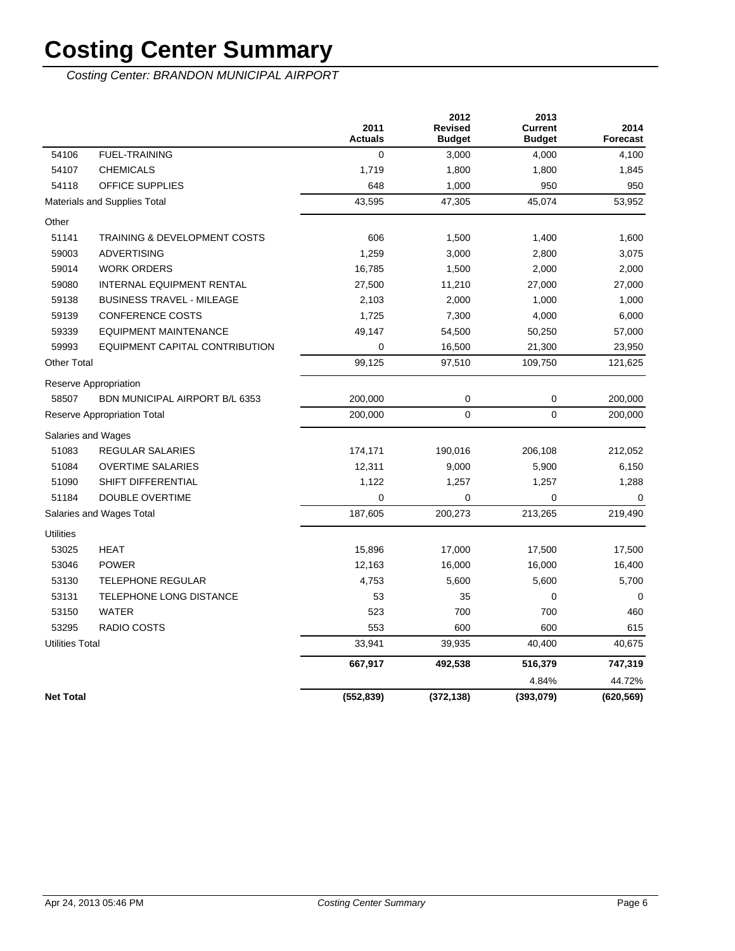Costing Center: BRANDON MUNICIPAL AIRPORT

|                        |                                    | 2011<br><b>Actuals</b> | 2012<br><b>Revised</b><br><b>Budget</b> | 2013<br><b>Current</b><br><b>Budget</b> | 2014<br><b>Forecast</b> |
|------------------------|------------------------------------|------------------------|-----------------------------------------|-----------------------------------------|-------------------------|
| 54106                  | <b>FUEL-TRAINING</b>               | $\mathbf 0$            | 3,000                                   | 4,000                                   | 4,100                   |
| 54107                  | <b>CHEMICALS</b>                   | 1,719                  | 1,800                                   | 1,800                                   | 1,845                   |
| 54118                  | <b>OFFICE SUPPLIES</b>             | 648                    | 1,000                                   | 950                                     | 950                     |
|                        | Materials and Supplies Total       | 43,595                 | 47,305                                  | 45,074                                  | 53,952                  |
| Other                  |                                    |                        |                                         |                                         |                         |
| 51141                  | TRAINING & DEVELOPMENT COSTS       | 606                    | 1,500                                   | 1,400                                   | 1,600                   |
| 59003                  | <b>ADVERTISING</b>                 | 1,259                  | 3,000                                   | 2,800                                   | 3,075                   |
| 59014                  | <b>WORK ORDERS</b>                 | 16,785                 | 1,500                                   | 2,000                                   | 2,000                   |
| 59080                  | INTERNAL EQUIPMENT RENTAL          | 27,500                 | 11,210                                  | 27,000                                  | 27,000                  |
| 59138                  | <b>BUSINESS TRAVEL - MILEAGE</b>   | 2,103                  | 2,000                                   | 1,000                                   | 1,000                   |
| 59139                  | <b>CONFERENCE COSTS</b>            | 1,725                  | 7,300                                   | 4,000                                   | 6,000                   |
| 59339                  | <b>EQUIPMENT MAINTENANCE</b>       | 49,147                 | 54,500                                  | 50,250                                  | 57,000                  |
| 59993                  | EQUIPMENT CAPITAL CONTRIBUTION     | $\mathbf 0$            | 16,500                                  | 21,300                                  | 23,950                  |
| <b>Other Total</b>     |                                    | 99,125                 | 97,510                                  | 109,750                                 | 121,625                 |
|                        | Reserve Appropriation              |                        |                                         |                                         |                         |
| 58507                  | BDN MUNICIPAL AIRPORT B/L 6353     | 200,000                | 0                                       | 0                                       | 200,000                 |
|                        | <b>Reserve Appropriation Total</b> | 200,000                | $\mathbf 0$                             | $\mathbf 0$                             | 200,000                 |
|                        | Salaries and Wages                 |                        |                                         |                                         |                         |
| 51083                  | <b>REGULAR SALARIES</b>            | 174,171                | 190,016                                 | 206,108                                 | 212,052                 |
| 51084                  | <b>OVERTIME SALARIES</b>           | 12,311                 | 9,000                                   | 5,900                                   | 6,150                   |
| 51090                  | SHIFT DIFFERENTIAL                 | 1,122                  | 1,257                                   | 1,257                                   | 1,288                   |
| 51184                  | <b>DOUBLE OVERTIME</b>             | $\mathbf 0$            | $\mathbf 0$                             | 0                                       | $\Omega$                |
|                        | Salaries and Wages Total           | 187,605                | 200,273                                 | 213,265                                 | 219,490                 |
| <b>Utilities</b>       |                                    |                        |                                         |                                         |                         |
| 53025                  | <b>HEAT</b>                        | 15,896                 | 17,000                                  | 17,500                                  | 17,500                  |
| 53046                  | <b>POWER</b>                       | 12,163                 | 16,000                                  | 16,000                                  | 16,400                  |
| 53130                  | <b>TELEPHONE REGULAR</b>           | 4,753                  | 5,600                                   | 5,600                                   | 5,700                   |
| 53131                  | TELEPHONE LONG DISTANCE            | 53                     | 35                                      | 0                                       | 0                       |
| 53150                  | <b>WATER</b>                       | 523                    | 700                                     | 700                                     | 460                     |
| 53295                  | <b>RADIO COSTS</b>                 | 553                    | 600                                     | 600                                     | 615                     |
| <b>Utilities Total</b> |                                    | 33,941                 | 39,935                                  | 40,400                                  | 40,675                  |
|                        |                                    | 667,917                | 492,538                                 | 516,379                                 | 747,319                 |
|                        |                                    |                        |                                         | 4.84%                                   | 44.72%                  |
| <b>Net Total</b>       |                                    | (552, 839)             | (372, 138)                              | (393,079)                               | (620, 569)              |